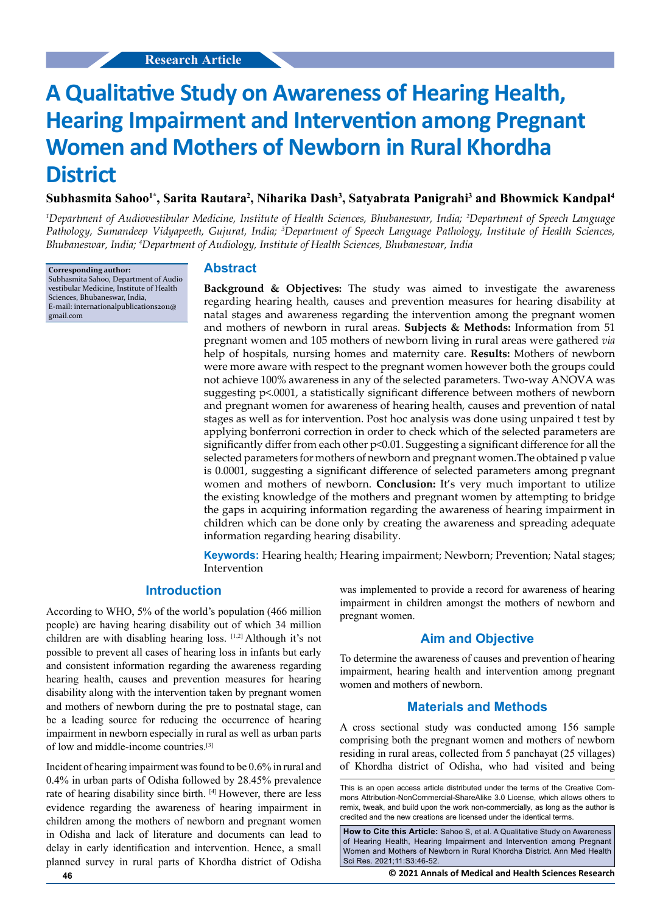# **A Qualitative Study on Awareness of Hearing Health, Hearing Impairment and Intervention among Pregnant Women and Mothers of Newborn in Rural Khordha District**

**Subhasmita Sahoo1\*, Sarita Rautara2 , Niharika Dash3 , Satyabrata Panigrahi3 and Bhowmick Kandpal4**

*1 Department of Audiovestibular Medicine, Institute of Health Sciences, Bhubaneswar, India; 2 Department of Speech Language Pathology, Sumandeep Vidyapeeth, Gujurat, India; 3 Department of Speech Language Pathology, Institute of Health Sciences, Bhubaneswar, India; 4 Department of Audiology, Institute of Health Sciences, Bhubaneswar, India*

**Corresponding author:** Subhasmita Sahoo, Department of Audio vestibular Medicine, Institute of Health Sciences, Bhubaneswar, India, E-mail: internationalpublications2011@ gmail.com

#### **Abstract**

**Background & Objectives:** The study was aimed to investigate the awareness regarding hearing health, causes and prevention measures for hearing disability at natal stages and awareness regarding the intervention among the pregnant women and mothers of newborn in rural areas. **Subjects & Methods:** Information from 51 pregnant women and 105 mothers of newborn living in rural areas were gathered *via* help of hospitals, nursing homes and maternity care. **Results:** Mothers of newborn were more aware with respect to the pregnant women however both the groups could not achieve 100% awareness in any of the selected parameters. Two-way ANOVA was suggesting p<.0001, a statistically significant difference between mothers of newborn and pregnant women for awareness of hearing health, causes and prevention of natal stages as well as for intervention. Post hoc analysis was done using unpaired t test by applying bonferroni correction in order to check which of the selected parameters are significantly differ from each other p<0.01. Suggesting a significant difference for all the selected parameters for mothers of newborn and pregnant women.The obtained p value is 0.0001, suggesting a significant difference of selected parameters among pregnant women and mothers of newborn. **Conclusion:** It's very much important to utilize the existing knowledge of the mothers and pregnant women by attempting to bridge the gaps in acquiring information regarding the awareness of hearing impairment in children which can be done only by creating the awareness and spreading adequate information regarding hearing disability.

**Keywords:** Hearing health; Hearing impairment; Newborn; Prevention; Natal stages; Intervention

#### **Introduction**

According to WHO, 5% of the world's population (466 million people) are having hearing disability out of which 34 million children are with disabling hearing loss. [1,2] Although it's not possible to prevent all cases of hearing loss in infants but early and consistent information regarding the awareness regarding hearing health, causes and prevention measures for hearing disability along with the intervention taken by pregnant women and mothers of newborn during the pre to postnatal stage, can be a leading source for reducing the occurrence of hearing impairment in newborn especially in rural as well as urban parts of low and middle-income countries.[3]

Incident of hearing impairment was found to be 0.6% in rural and 0.4% in urban parts of Odisha followed by 28.45% prevalence rate of hearing disability since birth. [4] However, there are less evidence regarding the awareness of hearing impairment in children among the mothers of newborn and pregnant women in Odisha and lack of literature and documents can lead to delay in early identification and intervention. Hence, a small planned survey in rural parts of Khordha district of Odisha

was implemented to provide a record for awareness of hearing impairment in children amongst the mothers of newborn and pregnant women.

### **Aim and Objective**

To determine the awareness of causes and prevention of hearing impairment, hearing health and intervention among pregnant women and mothers of newborn.

#### **Materials and Methods**

A cross sectional study was conducted among 156 sample comprising both the pregnant women and mothers of newborn residing in rural areas, collected from 5 panchayat (25 villages) of Khordha district of Odisha, who had visited and being

This is an open access article distributed under the terms of the Creative Commons Attribution‑NonCommercial‑ShareAlike 3.0 License, which allows others to remix, tweak, and build upon the work non‑commercially, as long as the author is credited and the new creations are licensed under the identical terms.

**How to Cite this Article:** Sahoo S, et al. A Qualitative Study on Awareness of Hearing Health, Hearing Impairment and Intervention among Pregnant Women and Mothers of Newborn in Rural Khordha District. Ann Med Health Sci Res. 2021;11:S3:46-52.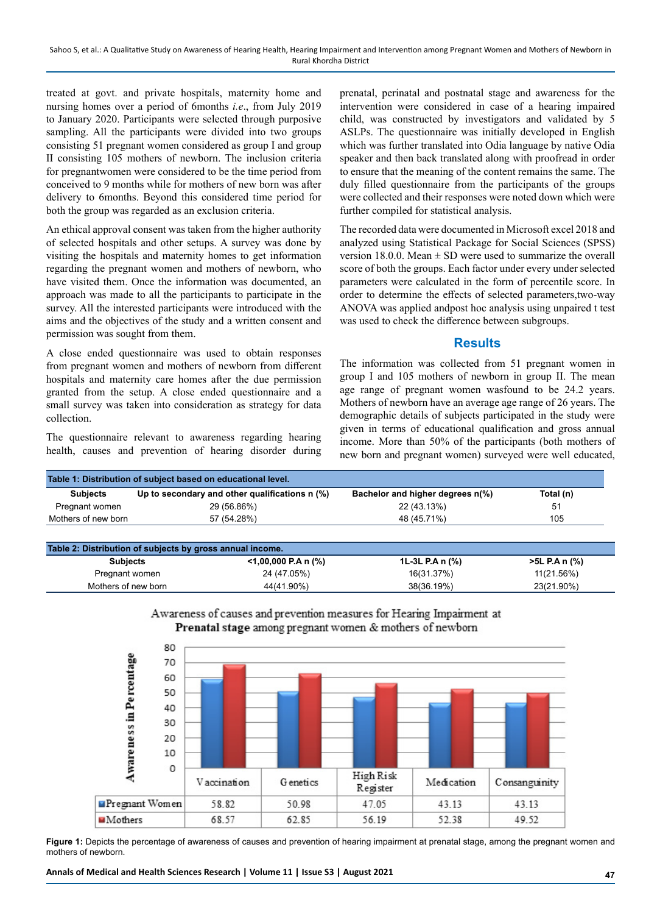treated at govt. and private hospitals, maternity home and nursing homes over a period of 6months *i.e*., from July 2019 to January 2020. Participants were selected through purposive sampling. All the participants were divided into two groups consisting 51 pregnant women considered as group I and group II consisting 105 mothers of newborn. The inclusion criteria for pregnantwomen were considered to be the time period from conceived to 9 months while for mothers of new born was after delivery to 6months. Beyond this considered time period for both the group was regarded as an exclusion criteria.

An ethical approval consent was taken from the higher authority of selected hospitals and other setups. A survey was done by visiting the hospitals and maternity homes to get information regarding the pregnant women and mothers of newborn, who have visited them. Once the information was documented, an approach was made to all the participants to participate in the survey. All the interested participants were introduced with the aims and the objectives of the study and a written consent and permission was sought from them.

A close ended questionnaire was used to obtain responses from pregnant women and mothers of newborn from different hospitals and maternity care homes after the due permission granted from the setup. A close ended questionnaire and a small survey was taken into consideration as strategy for data collection.

The questionnaire relevant to awareness regarding hearing health, causes and prevention of hearing disorder during

prenatal, perinatal and postnatal stage and awareness for the intervention were considered in case of a hearing impaired child, was constructed by investigators and validated by 5 ASLPs. The questionnaire was initially developed in English which was further translated into Odia language by native Odia speaker and then back translated along with proofread in order to ensure that the meaning of the content remains the same. The duly filled questionnaire from the participants of the groups were collected and their responses were noted down which were further compiled for statistical analysis.

The recorded data were documented in Microsoft excel 2018 and analyzed using Statistical Package for Social Sciences (SPSS) version 18.0.0. Mean  $\pm$  SD were used to summarize the overall score of both the groups. Each factor under every under selected parameters were calculated in the form of percentile score. In order to determine the effects of selected parameters,two-way ANOVA was applied andpost hoc analysis using unpaired t test was used to check the difference between subgroups.

#### **Results**

The information was collected from 51 pregnant women in group I and 105 mothers of newborn in group II. The mean age range of pregnant women wasfound to be 24.2 years. Mothers of newborn have an average age range of 26 years. The demographic details of subjects participated in the study were given in terms of educational qualification and gross annual income. More than 50% of the participants (both mothers of new born and pregnant women) surveyed were well educated,

| <b>Subjects</b>     | Up to secondary and other qualifications n (%) | Bachelor and higher degrees n(%) | Total (n) |
|---------------------|------------------------------------------------|----------------------------------|-----------|
| Pregnant women      | 29 (56.86%)                                    | 22 (43.13%)                      | 51        |
| Mothers of new born | 57 (54.28%)                                    | 48 (45.71%)                      | 105       |

| Table 2. Distribution of subjects by gross annual income. |                        |                 |               |  |  |  |
|-----------------------------------------------------------|------------------------|-----------------|---------------|--|--|--|
| <b>Subjects</b>                                           | $<$ 1,00,000 P.A n (%) | 1L-3L P.A n (%) | >5L P.A n (%) |  |  |  |
| Pregnant women                                            | 24 (47.05%)            | 16(31.37%)      | 11(21.56%)    |  |  |  |
| Mothers of new born                                       | 44(41.90%)             | 38(36.19%)      | 23(21.90%)    |  |  |  |



Awareness of causes and prevention measures for Hearing Impairment at Prenatal stage among pregnant women & mothers of newborn

**Figure 1:** Depicts the percentage of awareness of causes and prevention of hearing impairment at prenatal stage, among the pregnant women and mothers of newborn.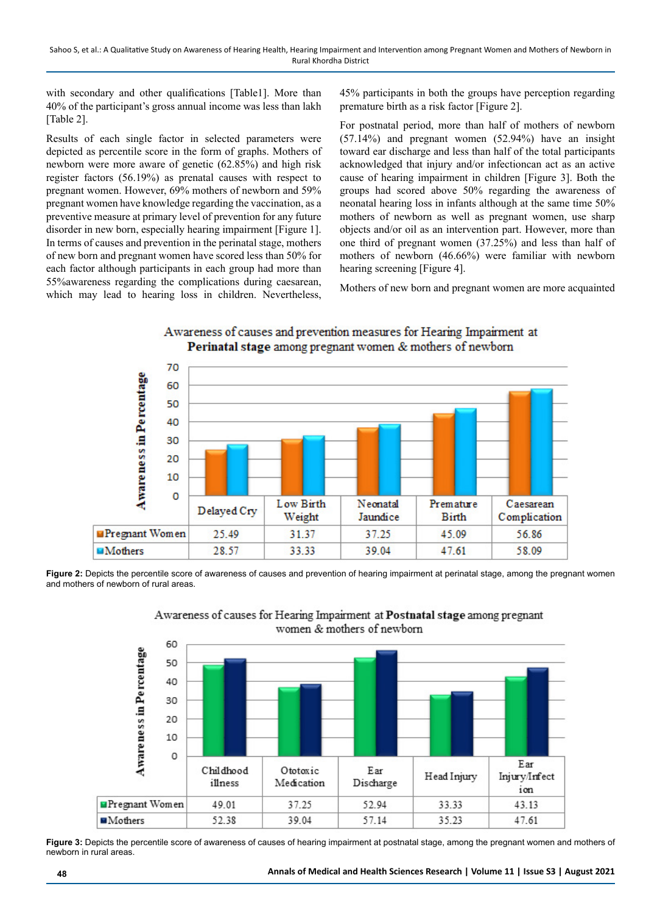with secondary and other qualifications [Table1]. More than 40% of the participant's gross annual income was less than lakh [Table 2].

Results of each single factor in selected parameters were depicted as percentile score in the form of graphs. Mothers of newborn were more aware of genetic (62.85%) and high risk register factors (56.19%) as prenatal causes with respect to pregnant women. However, 69% mothers of newborn and 59% pregnant women have knowledge regarding the vaccination, as a preventive measure at primary level of prevention for any future disorder in new born, especially hearing impairment [Figure 1]. In terms of causes and prevention in the perinatal stage, mothers of new born and pregnant women have scored less than 50% for each factor although participants in each group had more than 55%awareness regarding the complications during caesarean, which may lead to hearing loss in children. Nevertheless, 45% participants in both the groups have perception regarding premature birth as a risk factor [Figure 2].

For postnatal period, more than half of mothers of newborn (57.14%) and pregnant women (52.94%) have an insight toward ear discharge and less than half of the total participants acknowledged that injury and/or infectioncan act as an active cause of hearing impairment in children [Figure 3]. Both the groups had scored above 50% regarding the awareness of neonatal hearing loss in infants although at the same time 50% mothers of newborn as well as pregnant women, use sharp objects and/or oil as an intervention part. However, more than one third of pregnant women (37.25%) and less than half of mothers of newborn (46.66%) were familiar with newborn hearing screening [Figure 4].

Mothers of new born and pregnant women are more acquainted



Awareness of causes and prevention measures for Hearing Impairment at Perinatal stage among pregnant women & mothers of newborn

**Figure 2:** Depicts the percentile score of awareness of causes and prevention of hearing impairment at perinatal stage, among the pregnant women and mothers of newborn of rural areas.



Awareness of causes for Hearing Impairment at Postnatal stage among pregnant women & mothers of newborn

**Figure 3:** Depicts the percentile score of awareness of causes of hearing impairment at postnatal stage, among the pregnant women and mothers of newborn in rural areas.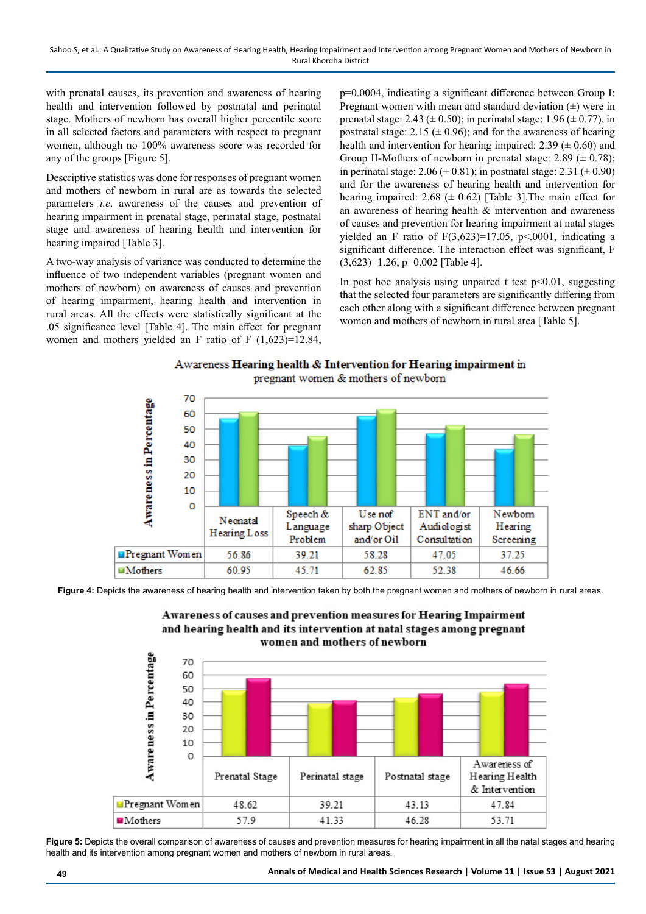with prenatal causes, its prevention and awareness of hearing health and intervention followed by postnatal and perinatal stage. Mothers of newborn has overall higher percentile score in all selected factors and parameters with respect to pregnant women, although no 100% awareness score was recorded for any of the groups [Figure 5].

Descriptive statistics was done for responses of pregnant women and mothers of newborn in rural are as towards the selected parameters *i.e*. awareness of the causes and prevention of hearing impairment in prenatal stage, perinatal stage, postnatal stage and awareness of hearing health and intervention for hearing impaired [Table 3].

A two-way analysis of variance was conducted to determine the influence of two independent variables (pregnant women and mothers of newborn) on awareness of causes and prevention of hearing impairment, hearing health and intervention in rural areas. All the effects were statistically significant at the .05 significance level [Table 4]. The main effect for pregnant women and mothers yielded an F ratio of F (1,623)=12.84,

p=0.0004, indicating a significant difference between Group I: Pregnant women with mean and standard deviation  $(\pm)$  were in prenatal stage: 2.43 ( $\pm$  0.50); in perinatal stage: 1.96 ( $\pm$  0.77), in postnatal stage: 2.15 ( $\pm$  0.96); and for the awareness of hearing health and intervention for hearing impaired: 2.39 ( $\pm$  0.60) and Group II-Mothers of newborn in prenatal stage: 2.89 ( $\pm$  0.78); in perinatal stage: 2.06 ( $\pm$  0.81); in postnatal stage: 2.31 ( $\pm$  0.90) and for the awareness of hearing health and intervention for hearing impaired: 2.68 ( $\pm$  0.62) [Table 3]. The main effect for an awareness of hearing health & intervention and awareness of causes and prevention for hearing impairment at natal stages yielded an F ratio of  $F(3,623)=17.05$ ,  $p<.0001$ , indicating a significant difference. The interaction effect was significant, F (3,623)=1.26, p=0.002 [Table 4].

In post hoc analysis using unpaired t test  $p<0.01$ , suggesting that the selected four parameters are significantly differing from each other along with a significant difference between pregnant women and mothers of newborn in rural area [Table 5].





**Figure 4:** Depicts the awareness of hearing health and intervention taken by both the pregnant women and mothers of newborn in rural areas.





Figure 5: Depicts the overall comparison of awareness of causes and prevention measures for hearing impairment in all the natal stages and hearing health and its intervention among pregnant women and mothers of newborn in rural areas.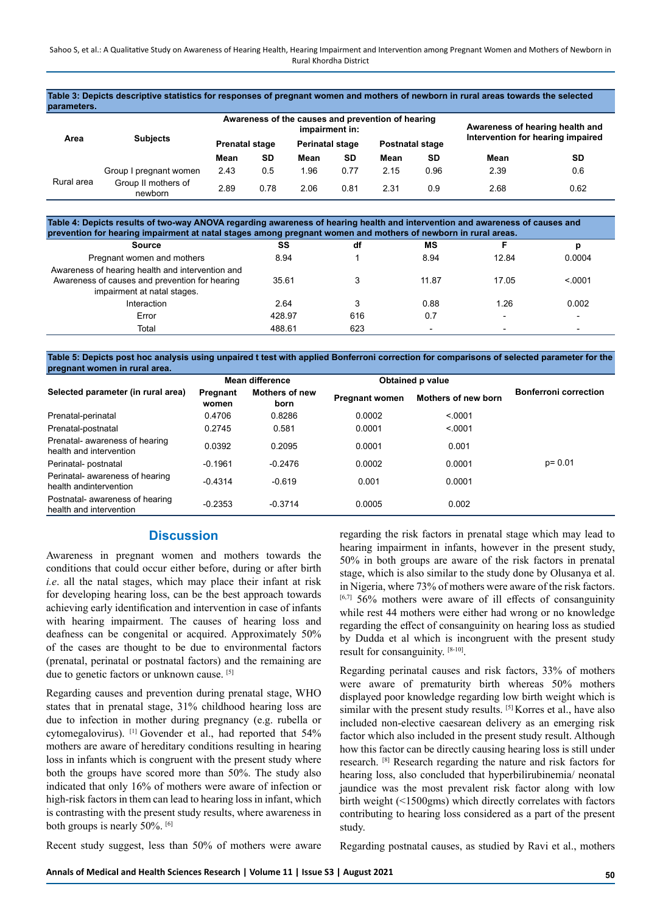**Table 3: Depicts descriptive statistics for responses of pregnant women and mothers of newborn in rural areas towards the selected parameters.**

|            | <b>Subjects</b>                | Awareness of the causes and prevention of hearing<br>impairment in: |      |                        |      |                        | Awareness of hearing health and<br>Intervention for hearing impaired |      |           |
|------------|--------------------------------|---------------------------------------------------------------------|------|------------------------|------|------------------------|----------------------------------------------------------------------|------|-----------|
| Area       |                                | <b>Prenatal stage</b>                                               |      | <b>Perinatal stage</b> |      | <b>Postnatal stage</b> |                                                                      |      |           |
|            |                                | Mean                                                                | SD   | Mean                   | SD   | Mean                   | SD                                                                   | Mean | <b>SD</b> |
| Rural area | Group I pregnant women         | 2.43                                                                | 0.5  | 1.96                   | 0.77 | 2.15                   | 0.96                                                                 | 2.39 | 0.6       |
|            | Group II mothers of<br>newborn | 2.89                                                                | 0.78 | 2.06                   | 0.81 | 2.31                   | 0.9                                                                  | 2.68 | 0.62      |

**Table 4: Depicts results of two-way ANOVA regarding awareness of hearing health and intervention and awareness of causes and prevention for hearing impairment at natal stages among pregnant women and mothers of newborn in rural areas.**

| <b>Source</b>                                                                                                                     | SS     | df  | MS    |                          |                          |
|-----------------------------------------------------------------------------------------------------------------------------------|--------|-----|-------|--------------------------|--------------------------|
| Pregnant women and mothers                                                                                                        | 8.94   |     | 8.94  | 12.84                    | 0.0004                   |
| Awareness of hearing health and intervention and<br>Awareness of causes and prevention for hearing<br>impairment at natal stages. | 35.61  |     | 11.87 | 17.05                    | < 0.001                  |
| Interaction                                                                                                                       | 2.64   |     | 0.88  | 1.26                     | 0.002                    |
| Error                                                                                                                             | 428.97 | 616 | 0.7   | $\overline{\phantom{0}}$ | $\overline{\phantom{0}}$ |
| Total                                                                                                                             | 488.61 | 623 |       |                          |                          |

**Table 5: Depicts post hoc analysis using unpaired t test with applied Bonferroni correction for comparisons of selected parameter for the pregnant women in rural area.**

|                                                            | Mean difference   |                               | Obtained p value      |                     |                              |  |
|------------------------------------------------------------|-------------------|-------------------------------|-----------------------|---------------------|------------------------------|--|
| Selected parameter (in rural area)                         | Pregnant<br>women | <b>Mothers of new</b><br>born | <b>Pregnant women</b> | Mothers of new born | <b>Bonferroni correction</b> |  |
| Prenatal-perinatal                                         | 0.4706            | 0.8286                        | 0.0002                | < 0001              |                              |  |
| Prenatal-postnatal                                         | 0.2745            | 0.581                         | 0.0001                | < 0001              |                              |  |
| Prenatal- awareness of hearing<br>health and intervention  | 0.0392            | 0.2095                        | 0.0001                | 0.001               |                              |  |
| Perinatal- postnatal                                       | $-0.1961$         | $-0.2476$                     | 0.0002                | 0.0001              | $p = 0.01$                   |  |
| Perinatal- awareness of hearing<br>health and intervention | $-0.4314$         | $-0.619$                      | 0.001                 | 0.0001              |                              |  |
| Postnatal- awareness of hearing<br>health and intervention | $-0.2353$         | $-0.3714$                     | 0.0005                | 0.002               |                              |  |

#### **Discussion**

Awareness in pregnant women and mothers towards the conditions that could occur either before, during or after birth *i.e*. all the natal stages, which may place their infant at risk for developing hearing loss, can be the best approach towards achieving early identification and intervention in case of infants with hearing impairment. The causes of hearing loss and deafness can be congenital or acquired. Approximately 50% of the cases are thought to be due to environmental factors (prenatal, perinatal or postnatal factors) and the remaining are due to genetic factors or unknown cause. [5]

Regarding causes and prevention during prenatal stage, WHO states that in prenatal stage, 31% childhood hearing loss are due to infection in mother during pregnancy (e.g. rubella or cytomegalovirus). [1] Govender et al., had reported that 54% mothers are aware of hereditary conditions resulting in hearing loss in infants which is congruent with the present study where both the groups have scored more than 50%. The study also indicated that only 16% of mothers were aware of infection or high-risk factors in them can lead to hearing loss in infant, which is contrasting with the present study results, where awareness in both groups is nearly 50%. [6]

regarding the risk factors in prenatal stage which may lead to hearing impairment in infants, however in the present study, 50% in both groups are aware of the risk factors in prenatal stage, which is also similar to the study done by Olusanya et al. in Nigeria, where 73% of mothers were aware of the risk factors.  $[6,7]$  56% mothers were aware of ill effects of consanguinity while rest 44 mothers were either had wrong or no knowledge regarding the effect of consanguinity on hearing loss as studied by Dudda et al which is incongruent with the present study result for consanguinity. [8-10].

Regarding perinatal causes and risk factors, 33% of mothers were aware of prematurity birth whereas 50% mothers displayed poor knowledge regarding low birth weight which is similar with the present study results. [5] Korres et al., have also included non-elective caesarean delivery as an emerging risk factor which also included in the present study result. Although how this factor can be directly causing hearing loss is still under research. [8] Research regarding the nature and risk factors for hearing loss, also concluded that hyperbilirubinemia/ neonatal jaundice was the most prevalent risk factor along with low birth weight (<1500gms) which directly correlates with factors contributing to hearing loss considered as a part of the present study.

Recent study suggest, less than 50% of mothers were aware

Regarding postnatal causes, as studied by Ravi et al., mothers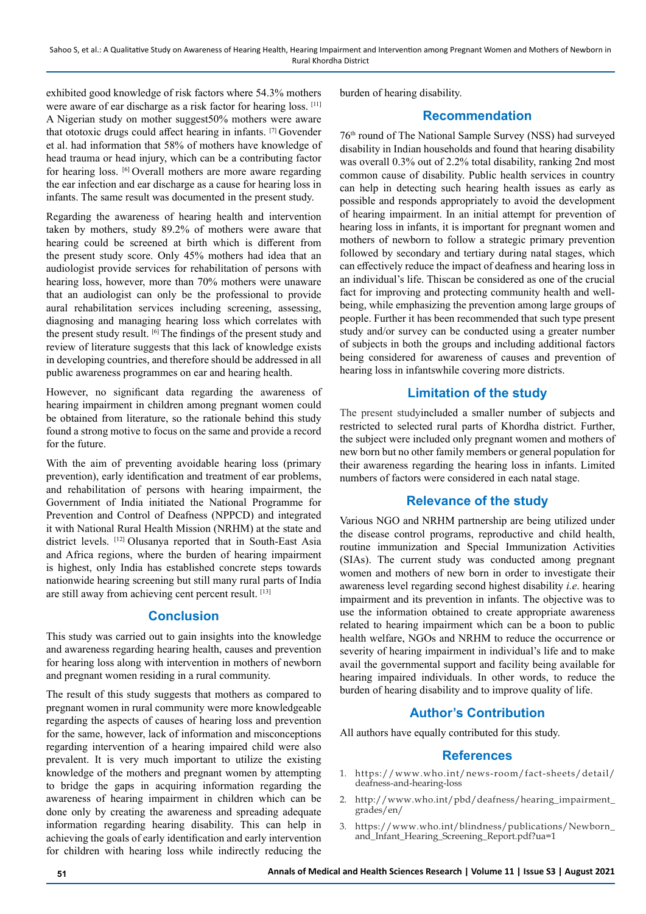exhibited good knowledge of risk factors where 54.3% mothers were aware of ear discharge as a risk factor for hearing loss. [11] A Nigerian study on mother suggest50% mothers were aware that ototoxic drugs could affect hearing in infants. [7] Govender et al. had information that 58% of mothers have knowledge of head trauma or head injury, which can be a contributing factor for hearing loss. [6] Overall mothers are more aware regarding the ear infection and ear discharge as a cause for hearing loss in infants. The same result was documented in the present study.

Regarding the awareness of hearing health and intervention taken by mothers, study 89.2% of mothers were aware that hearing could be screened at birth which is different from the present study score. Only 45% mothers had idea that an audiologist provide services for rehabilitation of persons with hearing loss, however, more than 70% mothers were unaware that an audiologist can only be the professional to provide aural rehabilitation services including screening, assessing, diagnosing and managing hearing loss which correlates with the present study result. [6] The findings of the present study and review of literature suggests that this lack of knowledge exists in developing countries, and therefore should be addressed in all public awareness programmes on ear and hearing health.

However, no significant data regarding the awareness of hearing impairment in children among pregnant women could be obtained from literature, so the rationale behind this study found a strong motive to focus on the same and provide a record for the future.

With the aim of preventing avoidable hearing loss (primary prevention), early identification and treatment of ear problems, and rehabilitation of persons with hearing impairment, the Government of India initiated the National Programme for Prevention and Control of Deafness (NPPCD) and integrated it with National Rural Health Mission (NRHM) at the state and district levels. [12] Olusanya reported that in South-East Asia and Africa regions, where the burden of hearing impairment is highest, only India has established concrete steps towards nationwide hearing screening but still many rural parts of India are still away from achieving cent percent result. [13]

## **Conclusion**

This study was carried out to gain insights into the knowledge and awareness regarding hearing health, causes and prevention for hearing loss along with intervention in mothers of newborn and pregnant women residing in a rural community.

The result of this study suggests that mothers as compared to pregnant women in rural community were more knowledgeable regarding the aspects of causes of hearing loss and prevention for the same, however, lack of information and misconceptions regarding intervention of a hearing impaired child were also prevalent. It is very much important to utilize the existing knowledge of the mothers and pregnant women by attempting to bridge the gaps in acquiring information regarding the awareness of hearing impairment in children which can be done only by creating the awareness and spreading adequate information regarding hearing disability. This can help in achieving the goals of early identification and early intervention for children with hearing loss while indirectly reducing the burden of hearing disability.

## **Recommendation**

76th round of The National Sample Survey (NSS) had surveyed disability in Indian households and found that hearing disability was overall 0.3% out of 2.2% total disability, ranking 2nd most common cause of disability. Public health services in country can help in detecting such hearing health issues as early as possible and responds appropriately to avoid the development of hearing impairment. In an initial attempt for prevention of hearing loss in infants, it is important for pregnant women and mothers of newborn to follow a strategic primary prevention followed by secondary and tertiary during natal stages, which can effectively reduce the impact of deafness and hearing loss in an individual's life. Thiscan be considered as one of the crucial fact for improving and protecting community health and wellbeing, while emphasizing the prevention among large groups of people. Further it has been recommended that such type present study and/or survey can be conducted using a greater number of subjects in both the groups and including additional factors being considered for awareness of causes and prevention of hearing loss in infantswhile covering more districts.

## **Limitation of the study**

The present studyincluded a smaller number of subjects and restricted to selected rural parts of Khordha district. Further, the subject were included only pregnant women and mothers of new born but no other family members or general population for their awareness regarding the hearing loss in infants. Limited numbers of factors were considered in each natal stage.

## **Relevance of the study**

Various NGO and NRHM partnership are being utilized under the disease control programs, reproductive and child health, routine immunization and Special Immunization Activities (SIAs). The current study was conducted among pregnant women and mothers of new born in order to investigate their awareness level regarding second highest disability *i.e*. hearing impairment and its prevention in infants. The objective was to use the information obtained to create appropriate awareness related to hearing impairment which can be a boon to public health welfare, NGOs and NRHM to reduce the occurrence or severity of hearing impairment in individual's life and to make avail the governmental support and facility being available for hearing impaired individuals. In other words, to reduce the burden of hearing disability and to improve quality of life.

# **Author's Contribution**

All authors have equally contributed for this study.

## **References**

- 1. https://www.who.int/news-room/fact-sheets/detail/ deafness-and-hearing-loss
- 2. http://www.who.int/pbd/deafness/hearing\_impairment\_ grades/en/
- 3. https://www.who.int/blindness/publications/Newborn\_ and\_Infant\_Hearing\_Screening\_Report.pdf?ua=1